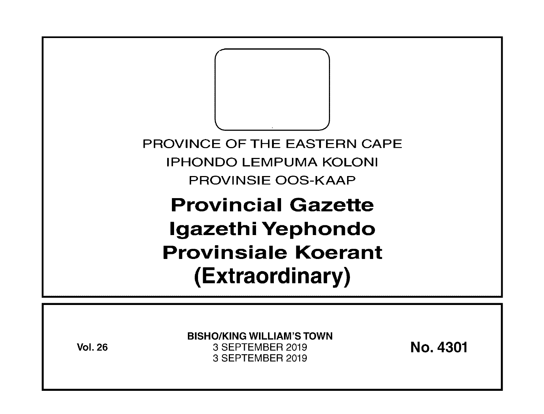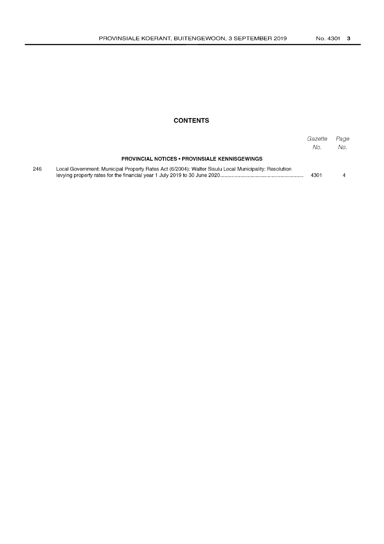# **CONTENTS**

|     |                                                                                                       | Gazette<br>No. | Page<br>No. |
|-----|-------------------------------------------------------------------------------------------------------|----------------|-------------|
|     | <b>PROVINCIAL NOTICES • PROVINSIALE KENNISGEWINGS</b>                                                 |                |             |
| 246 | Local Government: Municipal Property Rates Act (6/2004): Walter Sisulu Local Municipality: Resolution | 4301           |             |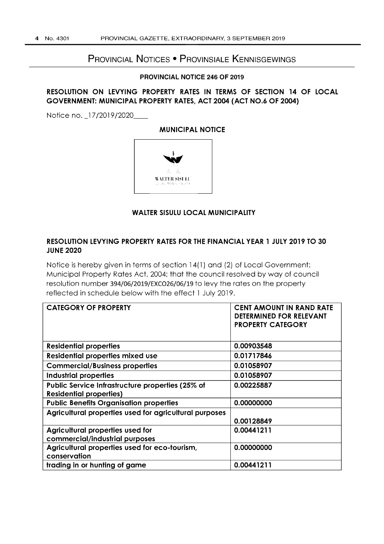# PROVINCIAL NOTICES • PROVINSIALE KENNISGEWINGS

#### **PROVINCIAL NOTICE 246 OF 2019**

# **RESOLUTION ON LEVYING PROPERTY RATES IN TERMS OF SECTION 14 OF LOCAL GOVERNMENT: MUNICIPAL PROPERTY RATES, ACT 2004 (ACT NO.6 OF 2004)**

Notice no. \_17/2019/2020\_

**MUNICIPAL NOTICE** 



# **WALTER SISULU LOCAL MUNICIPALITY**

# **RESOLUTION LEVYING PROPERTY RATES FOR THE FINANCIAL YEAR 1 JULY 2019 TO 30 JUNE 2020**

Notice is hereby given in terms of section 14( 1) and (2) of Local Government: Municipal Property Rates Act, 2004; that the council resolved by way of council resolution number 394/06/2019/EXC026/06/19 to levy the rates on the property reflected in schedule below with the effect 1 July 2019.

| <b>CATEGORY OF PROPERTY</b>                                                        | <b>CENT AMOUNT IN RAND RATE</b><br><b>DETERMINED FOR RELEVANT</b><br><b>PROPERTY CATEGORY</b> |
|------------------------------------------------------------------------------------|-----------------------------------------------------------------------------------------------|
| <b>Residential properties</b>                                                      | 0.00903548                                                                                    |
| Residential properties mixed use                                                   | 0.01717846                                                                                    |
| <b>Commercial/Business properties</b>                                              | 0.01058907                                                                                    |
| <b>Industrial properties</b>                                                       | 0.01058907                                                                                    |
| Public Service Infrastructure properties (25% of<br><b>Residential properties)</b> | 0.00225887                                                                                    |
| <b>Public Benefits Organisation properties</b>                                     | 0.00000000                                                                                    |
| Agricultural properties used for agricultural purposes                             | 0.00128849                                                                                    |
| Agricultural properties used for<br>commercial/industrial purposes                 | 0.00441211                                                                                    |
| Agricultural properties used for eco-tourism,<br>conservation                      | 0.00000000                                                                                    |
| trading in or hunting of game                                                      | 0.00441211                                                                                    |